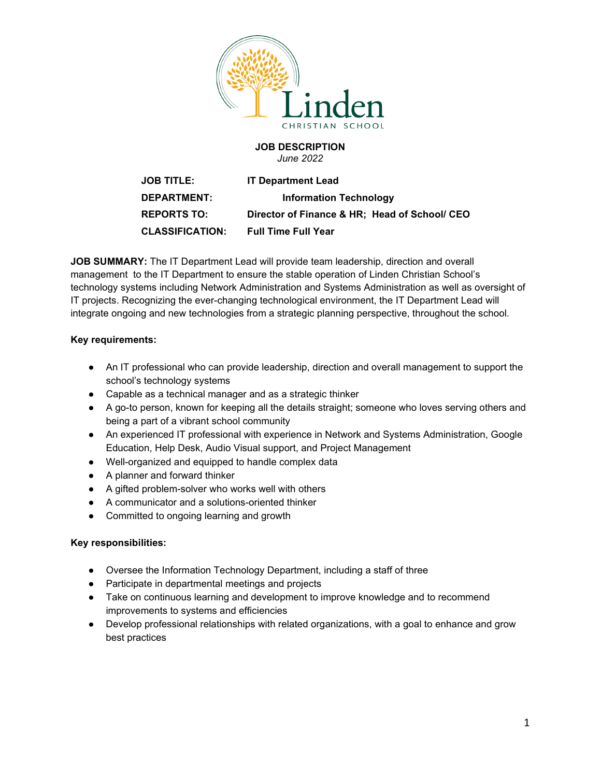

#### **JOB DESCRIPTION** *June 2022*

**JOB TITLE: IT Department Lead DEPARTMENT: Information Technology REPORTS TO: Director of Finance & HR; Head of School/ CEO CLASSIFICATION: Full Time Full Year**

**JOB SUMMARY:** The IT Department Lead will provide team leadership, direction and overall management to the IT Department to ensure the stable operation of Linden Christian School's technology systems including Network Administration and Systems Administration as well as oversight of IT projects. Recognizing the ever-changing technological environment, the IT Department Lead will integrate ongoing and new technologies from a strategic planning perspective, throughout the school.

# **Key requirements:**

- An IT professional who can provide leadership, direction and overall management to support the school's technology systems
- Capable as a technical manager and as a strategic thinker
- A go-to person, known for keeping all the details straight; someone who loves serving others and being a part of a vibrant school community
- An experienced IT professional with experience in Network and Systems Administration, Google Education, Help Desk, Audio Visual support, and Project Management
- Well-organized and equipped to handle complex data
- A planner and forward thinker
- A gifted problem-solver who works well with others
- A communicator and a solutions-oriented thinker
- Committed to ongoing learning and growth

### **Key responsibilities:**

- Oversee the Information Technology Department, including a staff of three
- Participate in departmental meetings and projects
- Take on continuous learning and development to improve knowledge and to recommend improvements to systems and efficiencies
- Develop professional relationships with related organizations, with a goal to enhance and grow best practices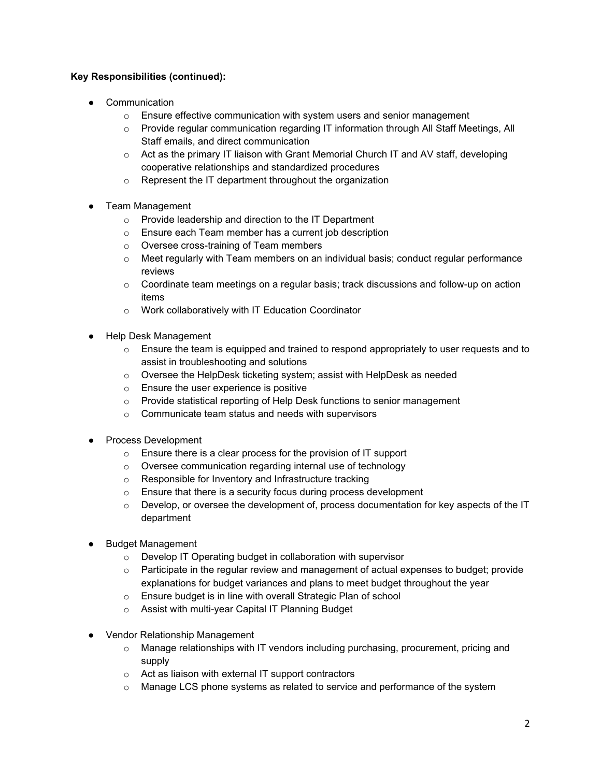# **Key Responsibilities (continued):**

- Communication
	- $\circ$  Ensure effective communication with system users and senior management
	- o Provide regular communication regarding IT information through All Staff Meetings, All Staff emails, and direct communication
	- $\circ$  Act as the primary IT liaison with Grant Memorial Church IT and AV staff, developing cooperative relationships and standardized procedures
	- o Represent the IT department throughout the organization
- Team Management
	- o Provide leadership and direction to the IT Department
	- o Ensure each Team member has a current job description
	- o Oversee cross-training of Team members
	- $\circ$  Meet regularly with Team members on an individual basis; conduct regular performance reviews
	- $\circ$  Coordinate team meetings on a regular basis; track discussions and follow-up on action items
	- o Work collaboratively with IT Education Coordinator
- Help Desk Management
	- $\circ$  Ensure the team is equipped and trained to respond appropriately to user requests and to assist in troubleshooting and solutions
	- o Oversee the HelpDesk ticketing system; assist with HelpDesk as needed
	- o Ensure the user experience is positive
	- o Provide statistical reporting of Help Desk functions to senior management
	- o Communicate team status and needs with supervisors
- Process Development
	- o Ensure there is a clear process for the provision of IT support
	- o Oversee communication regarding internal use of technology
	- o Responsible for Inventory and Infrastructure tracking
	- $\circ$  Ensure that there is a security focus during process development
	- $\circ$  Develop, or oversee the development of, process documentation for key aspects of the IT department
- **Budget Management** 
	- o Develop IT Operating budget in collaboration with supervisor
	- $\circ$  Participate in the regular review and management of actual expenses to budget; provide explanations for budget variances and plans to meet budget throughout the year
	- o Ensure budget is in line with overall Strategic Plan of school
	- o Assist with multi-year Capital IT Planning Budget
- **Vendor Relationship Management** 
	- o Manage relationships with IT vendors including purchasing, procurement, pricing and supply
	- o Act as liaison with external IT support contractors
	- $\circ$  Manage LCS phone systems as related to service and performance of the system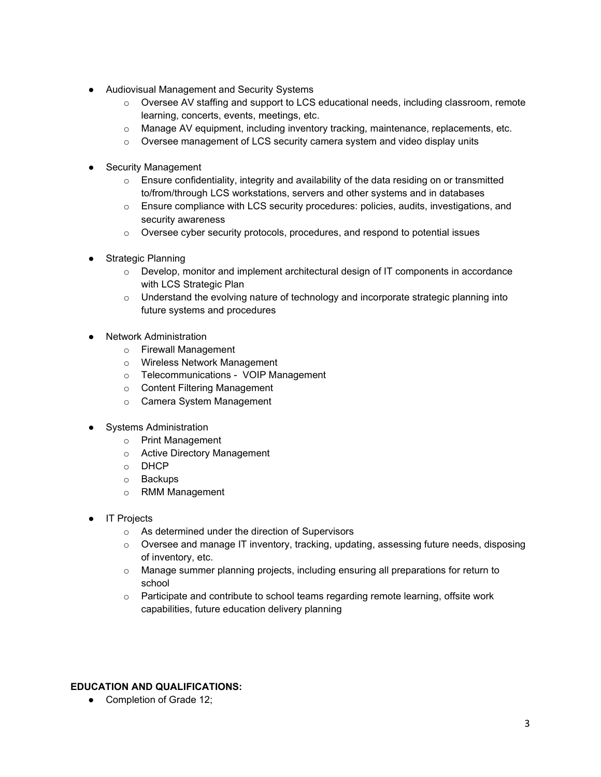- Audiovisual Management and Security Systems
	- o Oversee AV staffing and support to LCS educational needs, including classroom, remote learning, concerts, events, meetings, etc.
	- o Manage AV equipment, including inventory tracking, maintenance, replacements, etc.
	- $\circ$  Oversee management of LCS security camera system and video display units
- **Security Management** 
	- $\circ$  Ensure confidentiality, integrity and availability of the data residing on or transmitted to/from/through LCS workstations, servers and other systems and in databases
	- $\circ$  Ensure compliance with LCS security procedures: policies, audits, investigations, and security awareness
	- o Oversee cyber security protocols, procedures, and respond to potential issues
- **Strategic Planning** 
	- $\circ$  Develop, monitor and implement architectural design of IT components in accordance with LCS Strategic Plan
	- $\circ$  Understand the evolving nature of technology and incorporate strategic planning into future systems and procedures
- **Network Administration** 
	- o Firewall Management
	- o Wireless Network Management
	- o Telecommunications VOIP Management
	- o Content Filtering Management
	- o Camera System Management
- **Systems Administration** 
	- o Print Management
	- o Active Directory Management
	- o DHCP
	- o Backups
	- o RMM Management
- **IT Projects** 
	- o As determined under the direction of Supervisors
	- o Oversee and manage IT inventory, tracking, updating, assessing future needs, disposing of inventory, etc.
	- o Manage summer planning projects, including ensuring all preparations for return to school
	- $\circ$  Participate and contribute to school teams regarding remote learning, offsite work capabilities, future education delivery planning

### **EDUCATION AND QUALIFICATIONS:**

• Completion of Grade 12;